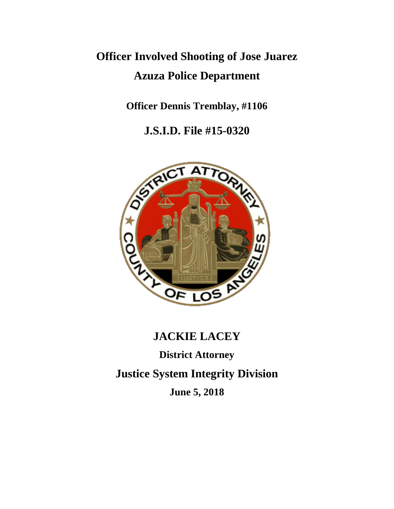# **Officer Involved Shooting of Jose Juarez Azuza Police Department**

**Officer Dennis Tremblay, #1106**

**J.S.I.D. File #15-0320**



## **JACKIE LACEY**

**District Attorney**

**Justice System Integrity Division**

**June 5, 2018**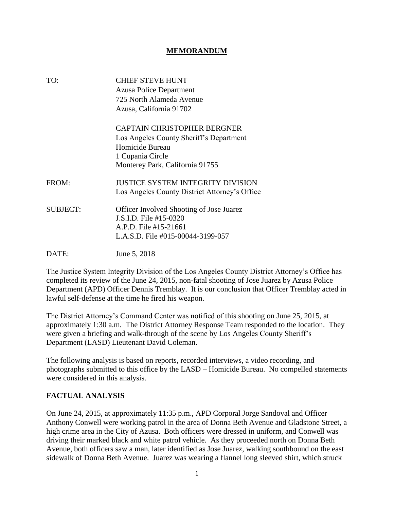#### **MEMORANDUM**

| TO:             | <b>CHIEF STEVE HUNT</b><br><b>Azusa Police Department</b><br>725 North Alameda Avenue<br>Azusa, California 91702                                 |
|-----------------|--------------------------------------------------------------------------------------------------------------------------------------------------|
|                 | CAPTAIN CHRISTOPHER BERGNER<br>Los Angeles County Sheriff's Department<br>Homicide Bureau<br>1 Cupania Circle<br>Monterey Park, California 91755 |
| FROM:           | JUSTICE SYSTEM INTEGRITY DIVISION<br>Los Angeles County District Attorney's Office                                                               |
| <b>SUBJECT:</b> | <b>Officer Involved Shooting of Jose Juarez</b><br>J.S.I.D. File #15-0320<br>A.P.D. File #15-21661<br>L.A.S.D. File #015-00044-3199-057          |
| DATE:           | June 5, 2018                                                                                                                                     |

The Justice System Integrity Division of the Los Angeles County District Attorney's Office has completed its review of the June 24, 2015, non-fatal shooting of Jose Juarez by Azusa Police Department (APD) Officer Dennis Tremblay. It is our conclusion that Officer Tremblay acted in lawful self-defense at the time he fired his weapon.

The District Attorney's Command Center was notified of this shooting on June 25, 2015, at approximately 1:30 a.m. The District Attorney Response Team responded to the location. They were given a briefing and walk-through of the scene by Los Angeles County Sheriff's Department (LASD) Lieutenant David Coleman.

The following analysis is based on reports, recorded interviews, a video recording, and photographs submitted to this office by the LASD – Homicide Bureau. No compelled statements were considered in this analysis.

#### **FACTUAL ANALYSIS**

On June 24, 2015, at approximately 11:35 p.m., APD Corporal Jorge Sandoval and Officer Anthony Conwell were working patrol in the area of Donna Beth Avenue and Gladstone Street, a high crime area in the City of Azusa. Both officers were dressed in uniform, and Conwell was driving their marked black and white patrol vehicle. As they proceeded north on Donna Beth Avenue, both officers saw a man, later identified as Jose Juarez, walking southbound on the east sidewalk of Donna Beth Avenue. Juarez was wearing a flannel long sleeved shirt, which struck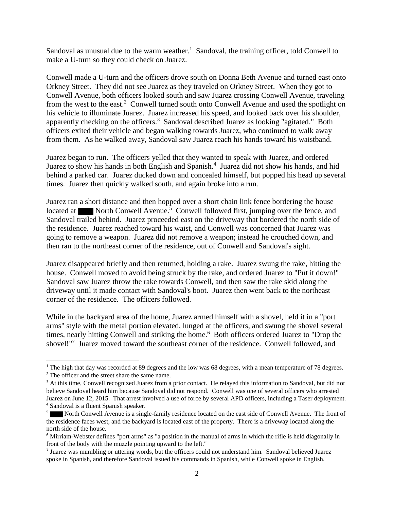Sandoval as unusual due to the warm weather.<sup>1</sup> Sandoval, the training officer, told Conwell to make a U-turn so they could check on Juarez.

Conwell made a U-turn and the officers drove south on Donna Beth Avenue and turned east onto Orkney Street. They did not see Juarez as they traveled on Orkney Street. When they got to Conwell Avenue, both officers looked south and saw Juarez crossing Conwell Avenue, traveling from the west to the east.<sup>2</sup> Conwell turned south onto Conwell Avenue and used the spotlight on his vehicle to illuminate Juarez. Juarez increased his speed, and looked back over his shoulder, apparently checking on the officers.<sup>3</sup> Sandoval described Juarez as looking "agitated." Both officers exited their vehicle and began walking towards Juarez, who continued to walk away from them. As he walked away, Sandoval saw Juarez reach his hands toward his waistband.

Juarez began to run. The officers yelled that they wanted to speak with Juarez, and ordered Juarez to show his hands in both English and Spanish.<sup>4</sup> Juarez did not show his hands, and hid behind a parked car. Juarez ducked down and concealed himself, but popped his head up several times. Juarez then quickly walked south, and again broke into a run.

Juarez ran a short distance and then hopped over a short chain link fence bordering the house located at North Conwell Avenue.<sup>5</sup> Conwell followed first, jumping over the fence, and Sandoval trailed behind. Juarez proceeded east on the driveway that bordered the north side of the residence. Juarez reached toward his waist, and Conwell was concerned that Juarez was going to remove a weapon. Juarez did not remove a weapon; instead he crouched down, and then ran to the northeast corner of the residence, out of Conwell and Sandoval's sight.

Juarez disappeared briefly and then returned, holding a rake. Juarez swung the rake, hitting the house. Conwell moved to avoid being struck by the rake, and ordered Juarez to "Put it down!" Sandoval saw Juarez throw the rake towards Conwell, and then saw the rake skid along the driveway until it made contact with Sandoval's boot. Juarez then went back to the northeast corner of the residence. The officers followed.

While in the backyard area of the home, Juarez armed himself with a shovel, held it in a "port arms" style with the metal portion elevated, lunged at the officers, and swung the shovel several times, nearly hitting Conwell and striking the home. 6 Both officers ordered Juarez to "Drop the shovel!"<sup>7</sup> Juarez moved toward the southeast corner of the residence. Conwell followed, and

<sup>&</sup>lt;sup>1</sup> The high that day was recorded at 89 degrees and the low was 68 degrees, with a mean temperature of 78 degrees.

<sup>2</sup> The officer and the street share the same name.

<sup>&</sup>lt;sup>3</sup> At this time, Conwell recognized Juarez from a prior contact. He relayed this information to Sandoval, but did not believe Sandoval heard him because Sandoval did not respond. Conwell was one of several officers who arrested Juarez on June 12, 2015. That arrest involved a use of force by several APD officers, including a Taser deployment. <sup>4</sup> Sandoval is a fluent Spanish speaker.<br><sup>5</sup> North Conwell Avenue is a sing

<sup>5</sup> North Conwell Avenue is a single-family residence located on the east side of Conwell Avenue. The front of the residence faces west, and the backyard is located east of the property. There is a driveway located along the north side of the house.

<sup>6</sup> Mirriam-Webster defines "port arms" as "a position in the manual of arms in which the rifle is held diagonally in front of the body with the muzzle pointing upward to the left."

<sup>&</sup>lt;sup>7</sup> Juarez was mumbling or uttering words, but the officers could not understand him. Sandoval believed Juarez spoke in Spanish, and therefore Sandoval issued his commands in Spanish, while Conwell spoke in English.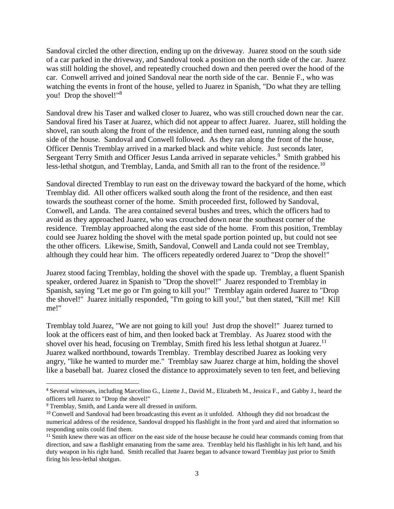Sandoval circled the other direction, ending up on the driveway. Juarez stood on the south side of a car parked in the driveway, and Sandoval took a position on the north side of the car. Juarez was still holding the shovel, and repeatedly crouched down and then peered over the hood of the car. Conwell arrived and joined Sandoval near the north side of the car. Bennie F., who was watching the events in front of the house, yelled to Juarez in Spanish, "Do what they are telling you! Drop the shovel!"<sup>8</sup>

Sandoval drew his Taser and walked closer to Juarez, who was still crouched down near the car. Sandoval fired his Taser at Juarez, which did not appear to affect Juarez. Juarez, still holding the shovel, ran south along the front of the residence, and then turned east, running along the south side of the house. Sandoval and Conwell followed. As they ran along the front of the house, Officer Dennis Tremblay arrived in a marked black and white vehicle. Just seconds later, Sergeant Terry Smith and Officer Jesus Landa arrived in separate vehicles.<sup>9</sup> Smith grabbed his less-lethal shotgun, and Tremblay, Landa, and Smith all ran to the front of the residence.<sup>10</sup>

Sandoval directed Tremblay to run east on the driveway toward the backyard of the home, which Tremblay did. All other officers walked south along the front of the residence, and then east towards the southeast corner of the home. Smith proceeded first, followed by Sandoval, Conwell, and Landa. The area contained several bushes and trees, which the officers had to avoid as they approached Juarez, who was crouched down near the southeast corner of the residence. Tremblay approached along the east side of the home. From this position, Tremblay could see Juarez holding the shovel with the metal spade portion pointed up, but could not see the other officers. Likewise, Smith, Sandoval, Conwell and Landa could not see Tremblay, although they could hear him. The officers repeatedly ordered Juarez to "Drop the shovel!"

Juarez stood facing Tremblay, holding the shovel with the spade up. Tremblay, a fluent Spanish speaker, ordered Juarez in Spanish to "Drop the shovel!" Juarez responded to Tremblay in Spanish, saying "Let me go or I'm going to kill you!" Tremblay again ordered Juarez to "Drop the shovel!" Juarez initially responded, "I'm going to kill you!," but then stated, "Kill me! Kill me!"

Tremblay told Juarez, "We are not going to kill you! Just drop the shovel!" Juarez turned to look at the officers east of him, and then looked back at Tremblay. As Juarez stood with the shovel over his head, focusing on Tremblay, Smith fired his less lethal shotgun at Juarez.<sup>11</sup> Juarez walked northbound, towards Tremblay. Tremblay described Juarez as looking very angry, "like he wanted to murder me." Tremblay saw Juarez charge at him, holding the shovel like a baseball bat. Juarez closed the distance to approximately seven to ten feet, and believing

l

<sup>8</sup> Several witnesses, including Marcelino G., Lizette J., David M., Elizabeth M., Jessica F., and Gabby J., heard the officers tell Juarez to "Drop the shovel!"

<sup>9</sup> Tremblay, Smith, and Landa were all dressed in uniform.

<sup>&</sup>lt;sup>10</sup> Conwell and Sandoval had been broadcasting this event as it unfolded. Although they did not broadcast the numerical address of the residence, Sandoval dropped his flashlight in the front yard and aired that information so responding units could find them.

<sup>&</sup>lt;sup>11</sup> Smith knew there was an officer on the east side of the house because he could hear commands coming from that direction, and saw a flashlight emanating from the same area. Tremblay held his flashlight in his left hand, and his duty weapon in his right hand. Smith recalled that Juarez began to advance toward Tremblay just prior to Smith firing his less-lethal shotgun.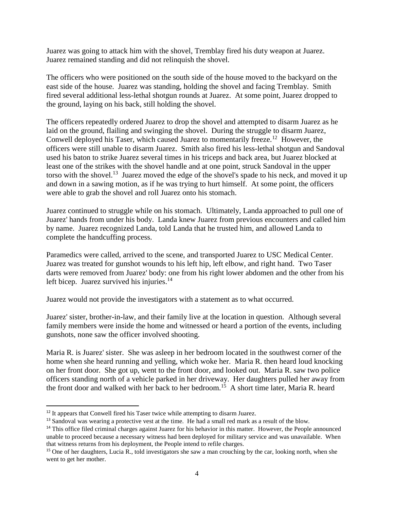Juarez was going to attack him with the shovel, Tremblay fired his duty weapon at Juarez. Juarez remained standing and did not relinquish the shovel.

The officers who were positioned on the south side of the house moved to the backyard on the east side of the house. Juarez was standing, holding the shovel and facing Tremblay. Smith fired several additional less-lethal shotgun rounds at Juarez. At some point, Juarez dropped to the ground, laying on his back, still holding the shovel.

The officers repeatedly ordered Juarez to drop the shovel and attempted to disarm Juarez as he laid on the ground, flailing and swinging the shovel. During the struggle to disarm Juarez, Conwell deployed his Taser, which caused Juarez to momentarily freeze.<sup>12</sup> However, the officers were still unable to disarm Juarez. Smith also fired his less-lethal shotgun and Sandoval used his baton to strike Juarez several times in his triceps and back area, but Juarez blocked at least one of the strikes with the shovel handle and at one point, struck Sandoval in the upper torso with the shovel.<sup>13</sup> Juarez moved the edge of the shovel's spade to his neck, and moved it up and down in a sawing motion, as if he was trying to hurt himself. At some point, the officers were able to grab the shovel and roll Juarez onto his stomach.

Juarez continued to struggle while on his stomach. Ultimately, Landa approached to pull one of Juarez' hands from under his body. Landa knew Juarez from previous encounters and called him by name. Juarez recognized Landa, told Landa that he trusted him, and allowed Landa to complete the handcuffing process.

Paramedics were called, arrived to the scene, and transported Juarez to USC Medical Center. Juarez was treated for gunshot wounds to his left hip, left elbow, and right hand. Two Taser darts were removed from Juarez' body: one from his right lower abdomen and the other from his left bicep. Juarez survived his injuries. $14$ 

Juarez would not provide the investigators with a statement as to what occurred.

Juarez' sister, brother-in-law, and their family live at the location in question. Although several family members were inside the home and witnessed or heard a portion of the events, including gunshots, none saw the officer involved shooting.

Maria R. is Juarez' sister. She was asleep in her bedroom located in the southwest corner of the home when she heard running and yelling, which woke her. Maria R. then heard loud knocking on her front door. She got up, went to the front door, and looked out. Maria R. saw two police officers standing north of a vehicle parked in her driveway. Her daughters pulled her away from the front door and walked with her back to her bedroom.<sup>15</sup> A short time later, Maria R. heard

 $\overline{\phantom{a}}$ 

<sup>&</sup>lt;sup>12</sup> It appears that Conwell fired his Taser twice while attempting to disarm Juarez.

<sup>&</sup>lt;sup>13</sup> Sandoval was wearing a protective vest at the time. He had a small red mark as a result of the blow.

<sup>&</sup>lt;sup>14</sup> This office filed criminal charges against Juarez for his behavior in this matter. However, the People announced unable to proceed because a necessary witness had been deployed for military service and was unavailable. When that witness returns from his deployment, the People intend to refile charges.

<sup>&</sup>lt;sup>15</sup> One of her daughters, Lucia R., told investigators she saw a man crouching by the car, looking north, when she went to get her mother.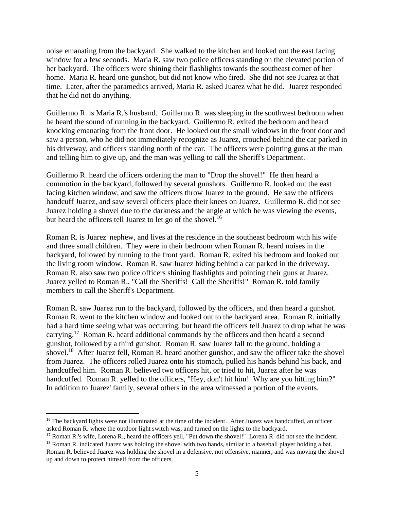noise emanating from the backyard. She walked to the kitchen and looked out the east facing window for a few seconds. Maria R. saw two police officers standing on the elevated portion of her backyard. The officers were shining their flashlights towards the southeast corner of her home. Maria R. heard one gunshot, but did not know who fired. She did not see Juarez at that time. Later, after the paramedics arrived, Maria R. asked Juarez what he did. Juarez responded that he did not do anything.

Guillermo R. is Maria R.'s husband. Guillermo R. was sleeping in the southwest bedroom when he heard the sound of running in the backyard. Guillermo R. exited the bedroom and heard knocking emanating from the front door. He looked out the small windows in the front door and saw a person, who he did not immediately recognize as Juarez, crouched behind the car parked in his driveway, and officers standing north of the car. The officers were pointing guns at the man and telling him to give up, and the man was yelling to call the Sheriff's Department.

Guillermo R. heard the officers ordering the man to "Drop the shovel!" He then heard a commotion in the backyard, followed by several gunshots. Guillermo R. looked out the east facing kitchen window, and saw the officers throw Juarez to the ground. He saw the officers handcuff Juarez, and saw several officers place their knees on Juarez. Guillermo R. did not see Juarez holding a shovel due to the darkness and the angle at which he was viewing the events, but heard the officers tell Juarez to let go of the shovel.<sup>16</sup>

Roman R. is Juarez' nephew, and lives at the residence in the southeast bedroom with his wife and three small children. They were in their bedroom when Roman R. heard noises in the backyard, followed by running to the front yard. Roman R. exited his bedroom and looked out the living room window. Roman R. saw Juarez hiding behind a car parked in the driveway. Roman R. also saw two police officers shining flashlights and pointing their guns at Juarez. Juarez yelled to Roman R., "Call the Sheriffs! Call the Sheriffs!" Roman R. told family members to call the Sheriff's Department.

Roman R. saw Juarez run to the backyard, followed by the officers, and then heard a gunshot. Roman R. went to the kitchen window and looked out to the backyard area. Roman R. initially had a hard time seeing what was occurring, but heard the officers tell Juarez to drop what he was carrying.<sup>17</sup> Roman R. heard additional commands by the officers and then heard a second gunshot, followed by a third gunshot. Roman R. saw Juarez fall to the ground, holding a shovel.<sup>18</sup> After Juarez fell, Roman R. heard another gunshot, and saw the officer take the shovel from Juarez. The officers rolled Juarez onto his stomach, pulled his hands behind his back, and handcuffed him. Roman R. believed two officers hit, or tried to hit, Juarez after he was handcuffed. Roman R. yelled to the officers, "Hey, don't hit him! Why are you hitting him?" In addition to Juarez' family, several others in the area witnessed a portion of the events.

 $\overline{\phantom{a}}$ 

<sup>&</sup>lt;sup>16</sup> The backyard lights were not illuminated at the time of the incident. After Juarez was handcuffed, an officer asked Roman R. where the outdoor light switch was, and turned on the lights to the backyard.

<sup>&</sup>lt;sup>17</sup> Roman R.'s wife, Lorena R., heard the officers yell, "Put down the shovel!" Lorena R. did not see the incident.

<sup>&</sup>lt;sup>18</sup> Roman R. indicated Juarez was holding the shovel with two hands, similar to a baseball player holding a bat. Roman R. believed Juarez was holding the shovel in a defensive, not offensive, manner, and was moving the shovel up and down to protect himself from the officers.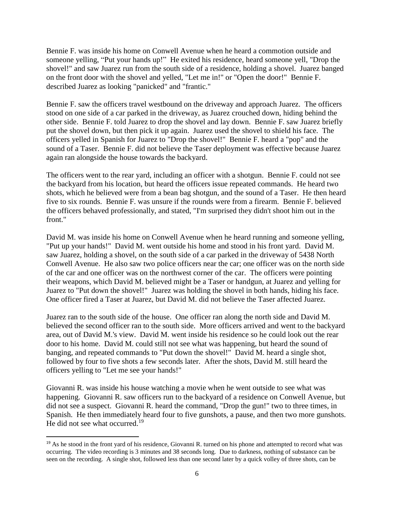Bennie F. was inside his home on Conwell Avenue when he heard a commotion outside and someone yelling, "Put your hands up!" He exited his residence, heard someone yell, "Drop the shovel!" and saw Juarez run from the south side of a residence, holding a shovel. Juarez banged on the front door with the shovel and yelled, "Let me in!" or "Open the door!" Bennie F. described Juarez as looking "panicked" and "frantic."

Bennie F. saw the officers travel westbound on the driveway and approach Juarez. The officers stood on one side of a car parked in the driveway, as Juarez crouched down, hiding behind the other side. Bennie F. told Juarez to drop the shovel and lay down. Bennie F. saw Juarez briefly put the shovel down, but then pick it up again. Juarez used the shovel to shield his face. The officers yelled in Spanish for Juarez to "Drop the shovel!" Bennie F. heard a "pop" and the sound of a Taser. Bennie F. did not believe the Taser deployment was effective because Juarez again ran alongside the house towards the backyard.

The officers went to the rear yard, including an officer with a shotgun. Bennie F. could not see the backyard from his location, but heard the officers issue repeated commands. He heard two shots, which he believed were from a bean bag shotgun, and the sound of a Taser. He then heard five to six rounds. Bennie F. was unsure if the rounds were from a firearm. Bennie F. believed the officers behaved professionally, and stated, "I'm surprised they didn't shoot him out in the front."

David M. was inside his home on Conwell Avenue when he heard running and someone yelling, "Put up your hands!" David M. went outside his home and stood in his front yard. David M. saw Juarez, holding a shovel, on the south side of a car parked in the driveway of 5438 North Conwell Avenue. He also saw two police officers near the car; one officer was on the north side of the car and one officer was on the northwest corner of the car. The officers were pointing their weapons, which David M. believed might be a Taser or handgun, at Juarez and yelling for Juarez to "Put down the shovel!" Juarez was holding the shovel in both hands, hiding his face. One officer fired a Taser at Juarez, but David M. did not believe the Taser affected Juarez.

Juarez ran to the south side of the house. One officer ran along the north side and David M. believed the second officer ran to the south side. More officers arrived and went to the backyard area, out of David M.'s view. David M. went inside his residence so he could look out the rear door to his home. David M. could still not see what was happening, but heard the sound of banging, and repeated commands to "Put down the shovel!" David M. heard a single shot, followed by four to five shots a few seconds later. After the shots, David M. still heard the officers yelling to "Let me see your hands!"

Giovanni R. was inside his house watching a movie when he went outside to see what was happening. Giovanni R. saw officers run to the backyard of a residence on Conwell Avenue, but did not see a suspect. Giovanni R. heard the command, "Drop the gun!" two to three times, in Spanish. He then immediately heard four to five gunshots, a pause, and then two more gunshots. He did not see what occurred.<sup>19</sup>

 $\overline{\phantom{a}}$ 

<sup>&</sup>lt;sup>19</sup> As he stood in the front yard of his residence, Giovanni R. turned on his phone and attempted to record what was occurring. The video recording is 3 minutes and 38 seconds long. Due to darkness, nothing of substance can be seen on the recording. A single shot, followed less than one second later by a quick volley of three shots, can be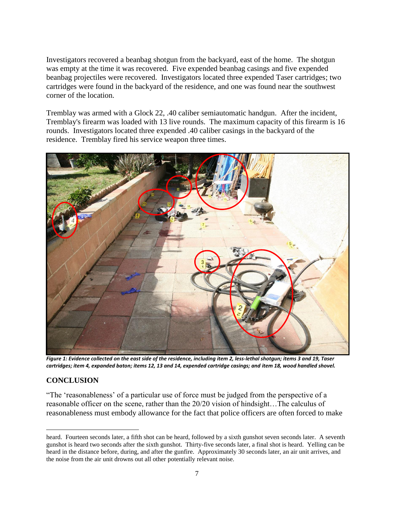Investigators recovered a beanbag shotgun from the backyard, east of the home. The shotgun was empty at the time it was recovered. Five expended beanbag casings and five expended beanbag projectiles were recovered. Investigators located three expended Taser cartridges; two cartridges were found in the backyard of the residence, and one was found near the southwest corner of the location.

Tremblay was armed with a Glock 22, .40 caliber semiautomatic handgun. After the incident, Tremblay's firearm was loaded with 13 live rounds. The maximum capacity of this firearm is 16 rounds. Investigators located three expended .40 caliber casings in the backyard of the residence. Tremblay fired his service weapon three times.



*Figure 1: Evidence collected on the east side of the residence, including item 2, less-lethal shotgun; items 3 and 19, Taser cartridges; item 4, expanded baton; items 12, 13 and 14, expended cartridge casings; and item 18, wood handled shovel.*

### **CONCLUSION**

 $\overline{a}$ 

"The 'reasonableness' of a particular use of force must be judged from the perspective of a reasonable officer on the scene, rather than the 20/20 vision of hindsight…The calculus of reasonableness must embody allowance for the fact that police officers are often forced to make

heard. Fourteen seconds later, a fifth shot can be heard, followed by a sixth gunshot seven seconds later. A seventh gunshot is heard two seconds after the sixth gunshot. Thirty-five seconds later, a final shot is heard. Yelling can be heard in the distance before, during, and after the gunfire. Approximately 30 seconds later, an air unit arrives, and the noise from the air unit drowns out all other potentially relevant noise.